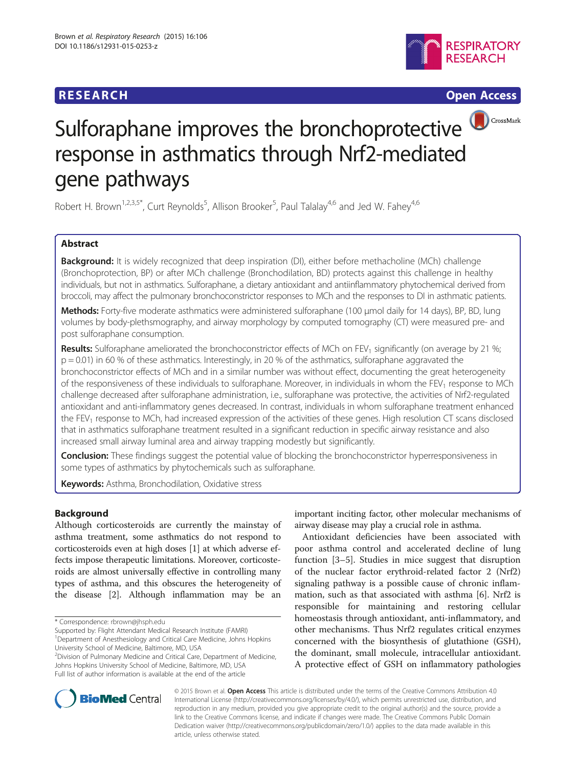## **RESEARCH RESEARCH** *CHECK CHECK CHECK CHECK CHECK CHECK CHECK CHECK CHECK CHECK CHECK CHECK CHECK CHECK CHECK CHECK CHECK CHECK CHECK CHECK CHECK CHECK CHECK CHECK CHECK CHECK CHECK CHECK CHECK CHECK CHECK CHECK CHECK*





# Sulforaphane improves the bronchoprotective response in asthmatics through Nrf2-mediated gene pathways

Robert H. Brown<sup>1,2,3,5\*</sup>, Curt Reynolds<sup>5</sup>, Allison Brooker<sup>5</sup>, Paul Talalay<sup>4,6</sup> and Jed W. Fahey<sup>4,6</sup>

## Abstract

Background: It is widely recognized that deep inspiration (DI), either before methacholine (MCh) challenge (Bronchoprotection, BP) or after MCh challenge (Bronchodilation, BD) protects against this challenge in healthy individuals, but not in asthmatics. Sulforaphane, a dietary antioxidant and antiinflammatory phytochemical derived from broccoli, may affect the pulmonary bronchoconstrictor responses to MCh and the responses to DI in asthmatic patients.

Methods: Forty-five moderate asthmatics were administered sulforaphane (100 μmol daily for 14 days), BP, BD, lung volumes by body-plethsmography, and airway morphology by computed tomography (CT) were measured pre- and post sulforaphane consumption.

Results: Sulforaphane ameliorated the bronchoconstrictor effects of MCh on FEV<sub>1</sub> significantly (on average by 21 %; p = 0.01) in 60 % of these asthmatics. Interestingly, in 20 % of the asthmatics, sulforaphane aggravated the bronchoconstrictor effects of MCh and in a similar number was without effect, documenting the great heterogeneity of the responsiveness of these individuals to sulforaphane. Moreover, in individuals in whom the FEV<sub>1</sub> response to MCh challenge decreased after sulforaphane administration, i.e., sulforaphane was protective, the activities of Nrf2-regulated antioxidant and anti-inflammatory genes decreased. In contrast, individuals in whom sulforaphane treatment enhanced the FEV<sub>1</sub> response to MCh, had increased expression of the activities of these genes. High resolution CT scans disclosed that in asthmatics sulforaphane treatment resulted in a significant reduction in specific airway resistance and also increased small airway luminal area and airway trapping modestly but significantly.

**Conclusion:** These findings suggest the potential value of blocking the bronchoconstrictor hyperresponsiveness in some types of asthmatics by phytochemicals such as sulforaphane.

Keywords: Asthma, Bronchodilation, Oxidative stress

## Background

Although corticosteroids are currently the mainstay of asthma treatment, some asthmatics do not respond to corticosteroids even at high doses [[1\]](#page-10-0) at which adverse effects impose therapeutic limitations. Moreover, corticosteroids are almost universally effective in controlling many types of asthma, and this obscures the heterogeneity of the disease [[2](#page-10-0)]. Although inflammation may be an

<sup>2</sup> Division of Pulmonary Medicine and Critical Care, Department of Medicine, Johns Hopkins University School of Medicine, Baltimore, MD, USA Full list of author information is available at the end of the article

important inciting factor, other molecular mechanisms of airway disease may play a crucial role in asthma.

Antioxidant deficiencies have been associated with poor asthma control and accelerated decline of lung function [[3](#page-10-0)–[5](#page-10-0)]. Studies in mice suggest that disruption of the nuclear factor erythroid-related factor 2 (Nrf2) signaling pathway is a possible cause of chronic inflammation, such as that associated with asthma [[6\]](#page-10-0). Nrf2 is responsible for maintaining and restoring cellular homeostasis through antioxidant, anti-inflammatory, and other mechanisms. Thus Nrf2 regulates critical enzymes concerned with the biosynthesis of glutathione (GSH), the dominant, small molecule, intracellular antioxidant. A protective effect of GSH on inflammatory pathologies



© 2015 Brown et al. Open Access This article is distributed under the terms of the Creative Commons Attribution 4.0 International License [\(http://creativecommons.org/licenses/by/4.0/\)](http://creativecommons.org/licenses/by/4.0/), which permits unrestricted use, distribution, and reproduction in any medium, provided you give appropriate credit to the original author(s) and the source, provide a link to the Creative Commons license, and indicate if changes were made. The Creative Commons Public Domain Dedication waiver ([http://creativecommons.org/publicdomain/zero/1.0/\)](http://creativecommons.org/publicdomain/zero/1.0/) applies to the data made available in this article, unless otherwise stated.

<sup>\*</sup> Correspondence: [rbrown@jhsph.edu](mailto:rbrown@jhsph.edu)

Supported by: Flight Attendant Medical Research Institute (FAMRI) <sup>1</sup>Department of Anesthesiology and Critical Care Medicine, Johns Hopkins University School of Medicine, Baltimore, MD, USA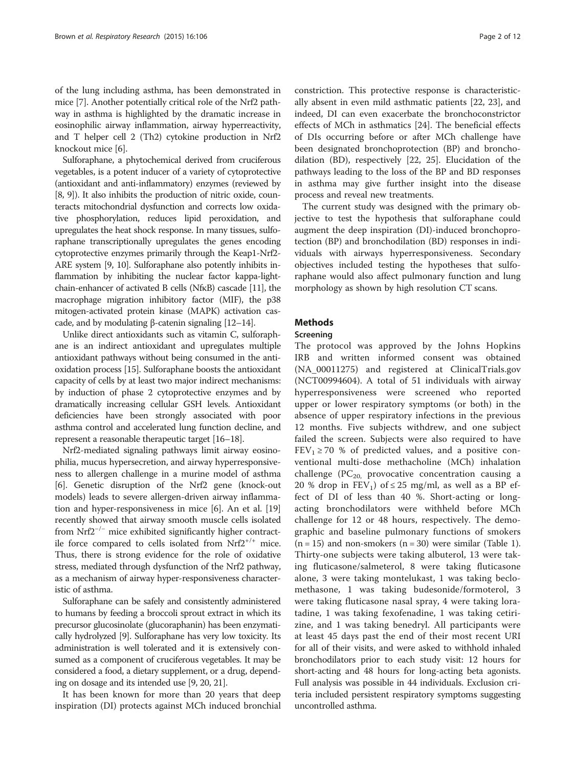of the lung including asthma, has been demonstrated in mice [[7](#page-10-0)]. Another potentially critical role of the Nrf2 pathway in asthma is highlighted by the dramatic increase in eosinophilic airway inflammation, airway hyperreactivity, and T helper cell 2 (Th2) cytokine production in Nrf2 knockout mice [[6\]](#page-10-0).

Sulforaphane, a phytochemical derived from cruciferous vegetables, is a potent inducer of a variety of cytoprotective (antioxidant and anti-inflammatory) enzymes (reviewed by [[8](#page-10-0), [9](#page-10-0)]). It also inhibits the production of nitric oxide, counteracts mitochondrial dysfunction and corrects low oxidative phosphorylation, reduces lipid peroxidation, and upregulates the heat shock response. In many tissues, sulforaphane transcriptionally upregulates the genes encoding cytoprotective enzymes primarily through the Keap1-Nrf2- ARE system [\[9, 10](#page-10-0)]. Sulforaphane also potently inhibits inflammation by inhibiting the nuclear factor kappa-lightchain-enhancer of activated B cells (NfκB) cascade [[11](#page-10-0)], the macrophage migration inhibitory factor (MIF), the p38 mitogen-activated protein kinase (MAPK) activation cascade, and by modulating β-catenin signaling  $[12-14]$  $[12-14]$  $[12-14]$  $[12-14]$  $[12-14]$ .

Unlike direct antioxidants such as vitamin C, sulforaphane is an indirect antioxidant and upregulates multiple antioxidant pathways without being consumed in the antioxidation process [\[15\]](#page-10-0). Sulforaphane boosts the antioxidant capacity of cells by at least two major indirect mechanisms: by induction of phase 2 cytoprotective enzymes and by dramatically increasing cellular GSH levels. Antioxidant deficiencies have been strongly associated with poor asthma control and accelerated lung function decline, and represent a reasonable therapeutic target [[16](#page-10-0)–[18\]](#page-10-0).

Nrf2-mediated signaling pathways limit airway eosinophilia, mucus hypersecretion, and airway hyperresponsiveness to allergen challenge in a murine model of asthma [[6\]](#page-10-0). Genetic disruption of the Nrf2 gene (knock-out models) leads to severe allergen-driven airway inflammation and hyper-responsiveness in mice [\[6](#page-10-0)]. An et al. [[19](#page-10-0)] recently showed that airway smooth muscle cells isolated from Nrf2−/<sup>−</sup> mice exhibited significantly higher contractile force compared to cells isolated from  $Nrf2^{+/+}$  mice. Thus, there is strong evidence for the role of oxidative stress, mediated through dysfunction of the Nrf2 pathway, as a mechanism of airway hyper-responsiveness characteristic of asthma.

Sulforaphane can be safely and consistently administered to humans by feeding a broccoli sprout extract in which its precursor glucosinolate (glucoraphanin) has been enzymatically hydrolyzed [\[9\]](#page-10-0). Sulforaphane has very low toxicity. Its administration is well tolerated and it is extensively consumed as a component of cruciferous vegetables. It may be considered a food, a dietary supplement, or a drug, depending on dosage and its intended use [[9](#page-10-0), [20](#page-10-0), [21](#page-10-0)].

It has been known for more than 20 years that deep inspiration (DI) protects against MCh induced bronchial

constriction. This protective response is characteristically absent in even mild asthmatic patients [\[22](#page-10-0), [23\]](#page-10-0), and indeed, DI can even exacerbate the bronchoconstrictor effects of MCh in asthmatics [[24\]](#page-10-0). The beneficial effects of DIs occurring before or after MCh challenge have been designated bronchoprotection (BP) and bronchodilation (BD), respectively [[22](#page-10-0), [25\]](#page-10-0). Elucidation of the pathways leading to the loss of the BP and BD responses in asthma may give further insight into the disease process and reveal new treatments.

The current study was designed with the primary objective to test the hypothesis that sulforaphane could augment the deep inspiration (DI)-induced bronchoprotection (BP) and bronchodilation (BD) responses in individuals with airways hyperresponsiveness. Secondary objectives included testing the hypotheses that sulforaphane would also affect pulmonary function and lung morphology as shown by high resolution CT scans.

## Methods

#### Screening

The protocol was approved by the Johns Hopkins IRB and written informed consent was obtained (NA\_00011275) and registered at ClinicalTrials.gov (NCT00994604). A total of 51 individuals with airway hyperresponsiveness were screened who reported upper or lower respiratory symptoms (or both) in the absence of upper respiratory infections in the previous 12 months. Five subjects withdrew, and one subject failed the screen. Subjects were also required to have  $FEV_1 \ge 70$  % of predicted values, and a positive conventional multi-dose methacholine (MCh) inhalation challenge ( $PC_{20}$ , provocative concentration causing a 20 % drop in  $FEV_1$ ) of  $\leq$  25 mg/ml, as well as a BP effect of DI of less than 40 %. Short-acting or longacting bronchodilators were withheld before MCh challenge for 12 or 48 hours, respectively. The demographic and baseline pulmonary functions of smokers  $(n = 15)$  $(n = 15)$  $(n = 15)$  and non-smokers  $(n = 30)$  were similar (Table 1). Thirty-one subjects were taking albuterol, 13 were taking fluticasone/salmeterol, 8 were taking fluticasone alone, 3 were taking montelukast, 1 was taking beclomethasone, 1 was taking budesonide/formoterol, 3 were taking fluticasone nasal spray, 4 were taking loratadine, 1 was taking fexofenadine, 1 was taking cetirizine, and 1 was taking benedryl. All participants were at least 45 days past the end of their most recent URI for all of their visits, and were asked to withhold inhaled bronchodilators prior to each study visit: 12 hours for short-acting and 48 hours for long-acting beta agonists. Full analysis was possible in 44 individuals. Exclusion criteria included persistent respiratory symptoms suggesting uncontrolled asthma.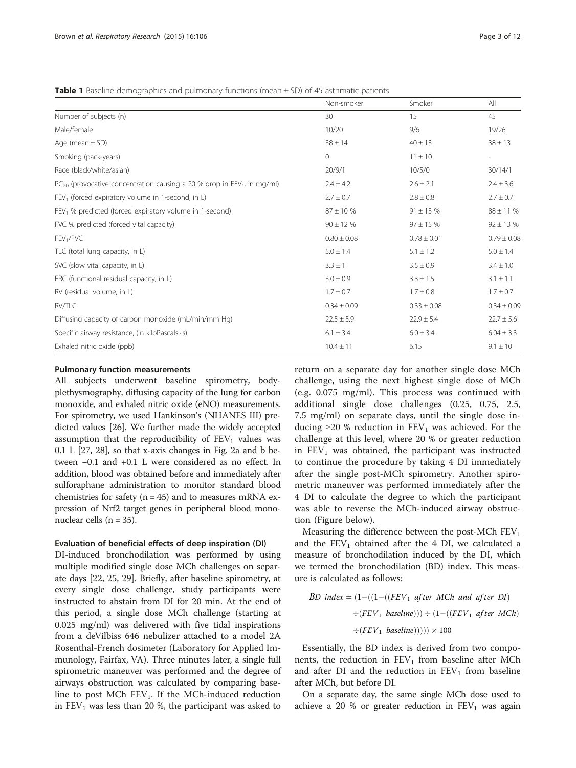<span id="page-2-0"></span>**Table 1** Baseline demographics and pulmonary functions (mean  $\pm$  SD) of 45 asthmatic patients

|                                                                                          | Non-smoker      | Smoker          | All                      |
|------------------------------------------------------------------------------------------|-----------------|-----------------|--------------------------|
| Number of subjects (n)                                                                   | 30              | 15              | 45                       |
| Male/female                                                                              | 10/20           | 9/6             | 19/26                    |
| Age (mean $\pm$ SD)                                                                      | $38 \pm 14$     | $40 \pm 13$     | $38 \pm 13$              |
| Smoking (pack-years)                                                                     | $\Omega$        | $11 \pm 10$     | $\overline{\phantom{0}}$ |
| Race (black/white/asian)                                                                 | 20/9/1          | 10/5/0          | 30/14/1                  |
| $PC_{20}$ (provocative concentration causing a 20 % drop in FEV <sub>1</sub> , in mg/ml) | $2.4 \pm 4.2$   | $2.6 \pm 2.1$   | $2.4 \pm 3.6$            |
| $FEV1$ (forced expiratory volume in 1-second, in L)                                      | $2.7 \pm 0.7$   | $2.8 \pm 0.8$   | $2.7 \pm 0.7$            |
| $FEV1$ % predicted (forced expiratory volume in 1-second)                                | $87 \pm 10 \%$  | $91 \pm 13$ %   | $88 \pm 11$ %            |
| FVC % predicted (forced vital capacity)                                                  | $90 \pm 12 \%$  | $97 \pm 15 \%$  | $92 \pm 13$ %            |
| FEV <sub>1</sub> /FVC                                                                    | $0.80 \pm 0.08$ | $0.78 \pm 0.01$ | $0.79 \pm 0.08$          |
| TLC (total lung capacity, in L)                                                          | $5.0 \pm 1.4$   | $5.1 \pm 1.2$   | $5.0 \pm 1.4$            |
| SVC (slow vital capacity, in L)                                                          | $3.3 \pm 1$     | $3.5 \pm 0.9$   | $3.4 \pm 1.0$            |
| FRC (functional residual capacity, in L)                                                 | $3.0 \pm 0.9$   | $3.3 \pm 1.5$   | $3.1 \pm 1.1$            |
| RV (residual volume, in L)                                                               | $1.7 \pm 0.7$   | $1.7 \pm 0.8$   | $1.7 \pm 0.7$            |
| RV/TLC                                                                                   | $0.34 \pm 0.09$ | $0.33 \pm 0.08$ | $0.34 \pm 0.09$          |
| Diffusing capacity of carbon monoxide (mL/min/mm Hg)                                     | $22.5 \pm 5.9$  | $22.9 \pm 5.4$  | $22.7 \pm 5.6$           |
| Specific airway resistance, (in kiloPascals · s)                                         | $6.1 \pm 3.4$   | $6.0 \pm 3.4$   | $6.04 \pm 3.3$           |
| Exhaled nitric oxide (ppb)                                                               | $10.4 \pm 11$   | 6.15            | $9.1 \pm 10$             |

## Pulmonary function measurements

All subjects underwent baseline spirometry, bodyplethysmography, diffusing capacity of the lung for carbon monoxide, and exhaled nitric oxide (eNO) measurements. For spirometry, we used Hankinson's (NHANES III) predicted values [\[26\]](#page-11-0). We further made the widely accepted assumption that the reproducibility of  $FEV<sub>1</sub>$  values was 0.1 L [[27](#page-11-0), [28](#page-11-0)], so that x-axis changes in Fig. [2a](#page-6-0) and [b](#page-6-0) between −0.1 and +0.1 L were considered as no effect. In addition, blood was obtained before and immediately after sulforaphane administration to monitor standard blood chemistries for safety ( $n = 45$ ) and to measures mRNA expression of Nrf2 target genes in peripheral blood mononuclear cells  $(n = 35)$ .

#### Evaluation of beneficial effects of deep inspiration (DI)

DI-induced bronchodilation was performed by using multiple modified single dose MCh challenges on separate days [[22, 25,](#page-10-0) [29\]](#page-11-0). Briefly, after baseline spirometry, at every single dose challenge, study participants were instructed to abstain from DI for 20 min. At the end of this period, a single dose MCh challenge (starting at 0.025 mg/ml) was delivered with five tidal inspirations from a deVilbiss 646 nebulizer attached to a model 2A Rosenthal-French dosimeter (Laboratory for Applied Immunology, Fairfax, VA). Three minutes later, a single full spirometric maneuver was performed and the degree of airways obstruction was calculated by comparing baseline to post MCh  $FEV_1$ . If the MCh-induced reduction in  $FEV<sub>1</sub>$  was less than 20 %, the participant was asked to return on a separate day for another single dose MCh challenge, using the next highest single dose of MCh (e.g. 0.075 mg/ml). This process was continued with additional single dose challenges (0.25, 0.75, 2.5, 7.5 mg/ml) on separate days, until the single dose inducing ≥20 % reduction in  $FEV_1$  was achieved. For the challenge at this level, where 20 % or greater reduction in  $FEV<sub>1</sub>$  was obtained, the participant was instructed to continue the procedure by taking 4 DI immediately after the single post-MCh spirometry. Another spirometric maneuver was performed immediately after the 4 DI to calculate the degree to which the participant was able to reverse the MCh-induced airway obstruction (Figure below).

Measuring the difference between the post-MCh  $FEV<sub>1</sub>$ and the  $FEV_1$  obtained after the 4 DI, we calculated a measure of bronchodilation induced by the DI, which we termed the bronchodilation (BD) index. This measure is calculated as follows:

$$
BD\ index = (1 - ((1 - ((FEV_1\ after\ MCh\ and\ after\ DI)
$$
  

$$
\div (FEV_1\ baseline))) \div (1 - ((FEV_1\ after\ MCh)
$$
  

$$
\div (FEV_1\ baseline)))) \times 100
$$

Essentially, the BD index is derived from two components, the reduction in  $FEV_1$  from baseline after MCh and after DI and the reduction in  $FEV<sub>1</sub>$  from baseline after MCh, but before DI.

On a separate day, the same single MCh dose used to achieve a 20 % or greater reduction in  $FEV<sub>1</sub>$  was again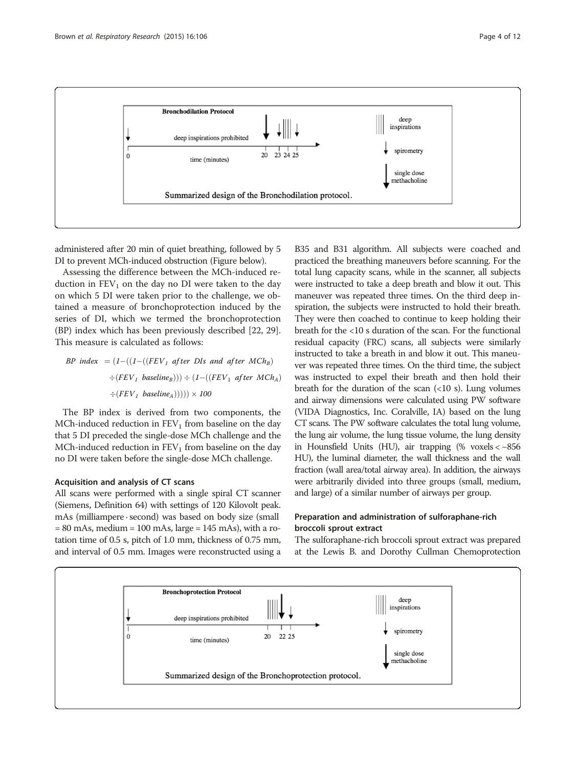

administered after 20 min of quiet breathing, followed by 5 DI to prevent MCh-induced obstruction (Figure below).

Assessing the difference between the MCh-induced reduction in  $FEV<sub>1</sub>$  on the day no DI were taken to the day on which 5 DI were taken prior to the challenge, we obtained a measure of bronchoprotection induced by the series of DI, which we termed the bronchoprotection (BP) index which has been previously described [\[22](#page-10-0), [29](#page-11-0)]. This measure is calculated as follows:

BP index  $= (1 - ((1 - ((FEV_1 \text{ after } Dis \text{ and after } MCh_B)))$  $\div(FEV_1 \text{ baseline}_B))\div (1-((FEV_1 \text{ after } MCh_A))$  $\div(FEV_1 \text{ baseline}_A)))) \times 100$ 

The BP index is derived from two components, the MCh-induced reduction in  $FEV<sub>1</sub>$  from baseline on the day that 5 DI preceded the single-dose MCh challenge and the MCh-induced reduction in  $FEV<sub>1</sub>$  from baseline on the day no DI were taken before the single-dose MCh challenge.

#### Acquisition and analysis of CT scans

All scans were performed with a single spiral CT scanner (Siemens, Definition 64) with settings of 120 Kilovolt peak. mAs (milliampere · second) was based on body size (small  $= 80$  mAs, medium  $= 100$  mAs, large  $= 145$  mAs), with a rotation time of 0.5 s, pitch of 1.0 mm, thickness of 0.75 mm, and interval of 0.5 mm. Images were reconstructed using a

B35 and B31 algorithm. All subjects were coached and practiced the breathing maneuvers before scanning. For the total lung capacity scans, while in the scanner, all subjects were instructed to take a deep breath and blow it out. This maneuver was repeated three times. On the third deep inspiration, the subjects were instructed to hold their breath. They were then coached to continue to keep holding their breath for the <10 s duration of the scan. For the functional residual capacity (FRC) scans, all subjects were similarly instructed to take a breath in and blow it out. This maneuver was repeated three times. On the third time, the subject was instructed to expel their breath and then hold their breath for the duration of the scan  $\left( <10 \right)$  s). Lung volumes and airway dimensions were calculated using PW software (VIDA Diagnostics, Inc. Coralville, IA) based on the lung CT scans. The PW software calculates the total lung volume, the lung air volume, the lung tissue volume, the lung density in Hounsfield Units (HU), air trapping (% voxels < −856 HU), the luminal diameter, the wall thickness and the wall fraction (wall area/total airway area). In addition, the airways were arbitrarily divided into three groups (small, medium, and large) of a similar number of airways per group.

## Preparation and administration of sulforaphane-rich broccoli sprout extract

The sulforaphane-rich broccoli sprout extract was prepared at the Lewis B. and Dorothy Cullman Chemoprotection

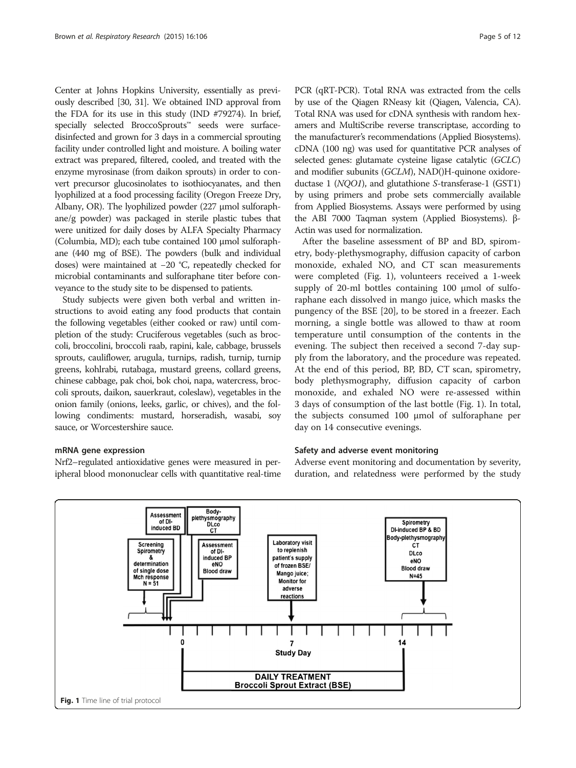<span id="page-4-0"></span>Center at Johns Hopkins University, essentially as previously described [\[30, 31\]](#page-11-0). We obtained IND approval from the FDA for its use in this study (IND #79274). In brief, specially selected BroccoSprouts™ seeds were surfacedisinfected and grown for 3 days in a commercial sprouting facility under controlled light and moisture. A boiling water extract was prepared, filtered, cooled, and treated with the enzyme myrosinase (from daikon sprouts) in order to convert precursor glucosinolates to isothiocyanates, and then lyophilized at a food processing facility (Oregon Freeze Dry, Albany, OR). The lyophilized powder (227 μmol sulforaphane/g powder) was packaged in sterile plastic tubes that were unitized for daily doses by ALFA Specialty Pharmacy (Columbia, MD); each tube contained 100 μmol sulforaphane (440 mg of BSE). The powders (bulk and individual doses) were maintained at −20 °C, repeatedly checked for microbial contaminants and sulforaphane titer before conveyance to the study site to be dispensed to patients.

Study subjects were given both verbal and written instructions to avoid eating any food products that contain the following vegetables (either cooked or raw) until completion of the study: Cruciferous vegetables (such as broccoli, broccolini, broccoli raab, rapini, kale, cabbage, brussels sprouts, cauliflower, arugula, turnips, radish, turnip, turnip greens, kohlrabi, rutabaga, mustard greens, collard greens, chinese cabbage, pak choi, bok choi, napa, watercress, broccoli sprouts, daikon, sauerkraut, coleslaw), vegetables in the onion family (onions, leeks, garlic, or chives), and the following condiments: mustard, horseradish, wasabi, soy sauce, or Worcestershire sauce.

## mRNA gene expression

Nrf2–regulated antioxidative genes were measured in peripheral blood mononuclear cells with quantitative real-time PCR (qRT-PCR). Total RNA was extracted from the cells by use of the Qiagen RNeasy kit (Qiagen, Valencia, CA). Total RNA was used for cDNA synthesis with random hexamers and MultiScribe reverse transcriptase, according to the manufacturer's recommendations (Applied Biosystems). cDNA (100 ng) was used for quantitative PCR analyses of selected genes: glutamate cysteine ligase catalytic (GCLC) and modifier subunits (GCLM), NAD()H-quinone oxidoreductase 1 (NQO1), and glutathione S-transferase-1 (GST1) by using primers and probe sets commercially available from Applied Biosystems. Assays were performed by using the ABI 7000 Taqman system (Applied Biosystems). β-Actin was used for normalization.

After the baseline assessment of BP and BD, spirometry, body-plethysmography, diffusion capacity of carbon monoxide, exhaled NO, and CT scan measurements were completed (Fig. 1), volunteers received a 1-week supply of 20-ml bottles containing 100 μmol of sulforaphane each dissolved in mango juice, which masks the pungency of the BSE [[20\]](#page-10-0), to be stored in a freezer. Each morning, a single bottle was allowed to thaw at room temperature until consumption of the contents in the evening. The subject then received a second 7-day supply from the laboratory, and the procedure was repeated. At the end of this period, BP, BD, CT scan, spirometry, body plethysmography, diffusion capacity of carbon monoxide, and exhaled NO were re-assessed within 3 days of consumption of the last bottle (Fig. 1). In total, the subjects consumed 100 μmol of sulforaphane per day on 14 consecutive evenings.

## Safety and adverse event monitoring

Adverse event monitoring and documentation by severity, duration, and relatedness were performed by the study

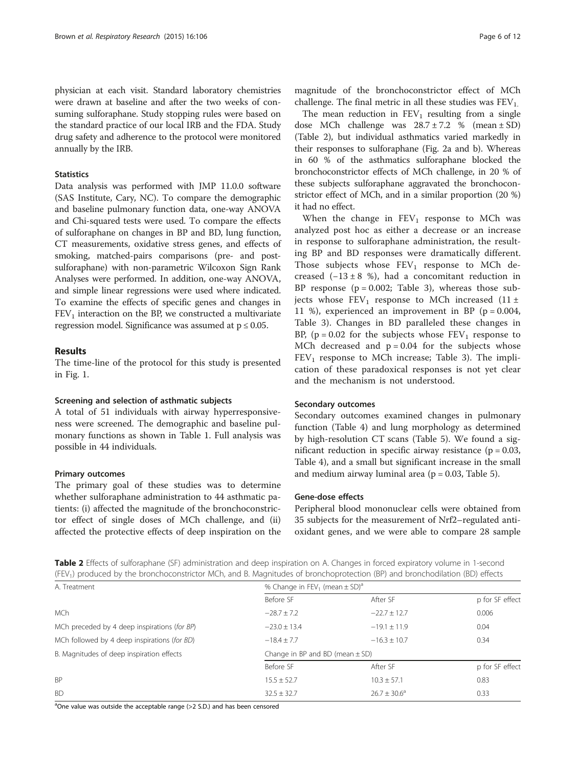<span id="page-5-0"></span>physician at each visit. Standard laboratory chemistries were drawn at baseline and after the two weeks of consuming sulforaphane. Study stopping rules were based on the standard practice of our local IRB and the FDA. Study drug safety and adherence to the protocol were monitored annually by the IRB.

## **Statistics**

Data analysis was performed with JMP 11.0.0 software (SAS Institute, Cary, NC). To compare the demographic and baseline pulmonary function data, one-way ANOVA and Chi-squared tests were used. To compare the effects of sulforaphane on changes in BP and BD, lung function, CT measurements, oxidative stress genes, and effects of smoking, matched-pairs comparisons (pre- and postsulforaphane) with non-parametric Wilcoxon Sign Rank Analyses were performed. In addition, one-way ANOVA, and simple linear regressions were used where indicated. To examine the effects of specific genes and changes in  $FEV<sub>1</sub>$  interaction on the BP, we constructed a multivariate regression model. Significance was assumed at  $p \leq 0.05$ .

#### Results

The time-line of the protocol for this study is presented in Fig. [1.](#page-4-0)

#### Screening and selection of asthmatic subjects

A total of 51 individuals with airway hyperresponsiveness were screened. The demographic and baseline pulmonary functions as shown in Table [1](#page-2-0). Full analysis was possible in 44 individuals.

## Primary outcomes

The primary goal of these studies was to determine whether sulforaphane administration to 44 asthmatic patients: (i) affected the magnitude of the bronchoconstrictor effect of single doses of MCh challenge, and (ii) affected the protective effects of deep inspiration on the

magnitude of the bronchoconstrictor effect of MCh challenge. The final metric in all these studies was  $FEV<sub>1</sub>$ .

The mean reduction in  $FEV_1$  resulting from a single dose MCh challenge was  $28.7 \pm 7.2$  % (mean  $\pm$  SD) (Table 2), but individual asthmatics varied markedly in their responses to sulforaphane (Fig. [2a](#page-6-0) and [b](#page-6-0)). Whereas in 60 % of the asthmatics sulforaphane blocked the bronchoconstrictor effects of MCh challenge, in 20 % of these subjects sulforaphane aggravated the bronchoconstrictor effect of MCh, and in a similar proportion (20 %) it had no effect.

When the change in  $FEV_1$  response to MCh was analyzed post hoc as either a decrease or an increase in response to sulforaphane administration, the resulting BP and BD responses were dramatically different. Those subjects whose  $FEV_1$  response to MCh decreased  $(-13 \pm 8 \%)$ , had a concomitant reduction in BP response  $(p = 0.002;$  Table [3\)](#page-7-0), whereas those subjects whose  $FEV_1$  response to MCh increased (11 ± 11 %), experienced an improvement in BP ( $p = 0.004$ , Table [3](#page-7-0)). Changes in BD paralleled these changes in BP, ( $p = 0.02$  for the subjects whose  $FEV_1$  response to MCh decreased and  $p = 0.04$  for the subjects whose  $FEV<sub>1</sub>$  response to MCh increase; Table [3\)](#page-7-0). The implication of these paradoxical responses is not yet clear and the mechanism is not understood.

#### Secondary outcomes

Secondary outcomes examined changes in pulmonary function (Table [4](#page-7-0)) and lung morphology as determined by high-resolution CT scans (Table [5\)](#page-8-0). We found a significant reduction in specific airway resistance ( $p = 0.03$ , Table [4\)](#page-7-0), and a small but significant increase in the small and medium airway luminal area ( $p = 0.03$ , Table [5\)](#page-8-0).

## Gene-dose effects

Peripheral blood mononuclear cells were obtained from 35 subjects for the measurement of Nrf2–regulated antioxidant genes, and we were able to compare 28 sample

Table 2 Effects of sulforaphane (SF) administration and deep inspiration on A. Changes in forced expiratory volume in 1-second (FEV1) produced by the bronchoconstrictor MCh, and B. Magnitudes of bronchoprotection (BP) and bronchodilation (BD) effects

| A. Treatment                                 | % Change in FEV <sub>1</sub> (mean $\pm$ SD) <sup>a</sup> |                         |                 |  |  |
|----------------------------------------------|-----------------------------------------------------------|-------------------------|-----------------|--|--|
|                                              | Before SF                                                 | After SF                | p for SF effect |  |  |
| <b>MCh</b>                                   | $-28.7 \pm 7.2$                                           | $-22.7 \pm 12.7$        | 0.006           |  |  |
| MCh preceded by 4 deep inspirations (for BP) | $-23.0 \pm 13.4$                                          | $-19.1 \pm 11.9$        | 0.04            |  |  |
| MCh followed by 4 deep inspirations (for BD) | $-18.4 + 7.7$                                             | $-16.3 + 10.7$          | 0.34            |  |  |
| B. Magnitudes of deep inspiration effects    | Change in BP and BD (mean $\pm$ SD)                       |                         |                 |  |  |
|                                              | Before SF                                                 | After SF                | p for SF effect |  |  |
| <b>BP</b>                                    | $15.5 \pm 52.7$                                           | $10.3 \pm 57.1$         | 0.83            |  |  |
| <b>BD</b>                                    | $32.5 \pm 32.7$                                           | $26.7 \pm 30.6^{\circ}$ | 0.33            |  |  |

<sup>a</sup>One value was outside the acceptable range (>2 S.D.) and has been censored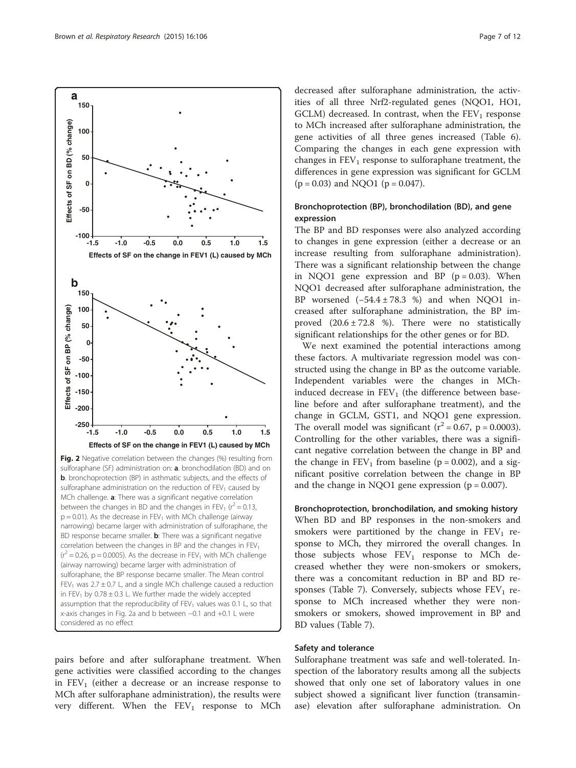<span id="page-6-0"></span>

sulforaphane administration on the reduction of  $FEV<sub>1</sub>$  caused by MCh challenge. **a**: There was a significant negative correlation between the changes in BD and the changes in FEV<sub>1</sub> ( $r^2$  = 0.13,  $p = 0.01$ ). As the decrease in FEV<sub>1</sub> with MCh challenge (airway narrowing) became larger with administration of sulforaphane, the BD response became smaller. **b**: There was a significant negative correlation between the changes in BP and the changes in  $FEV<sub>1</sub>$  $(r^2 = 0.26, p = 0.0005)$ . As the decrease in FEV<sub>1</sub> with MCh challenge (airway narrowing) became larger with administration of sulforaphane, the BP response became smaller. The Mean control FEV<sub>1</sub> was  $2.7 \pm 0.7$  L, and a single MCh challenge caused a reduction in FEV<sub>1</sub> by 0.78  $\pm$  0.3 L. We further made the widely accepted assumption that the reproducibility of  $FEV<sub>1</sub>$  values was 0.1 L, so that x-axis changes in Fig. 2a and b between −0.1 and +0.1 L were considered as no effect

pairs before and after sulforaphane treatment. When gene activities were classified according to the changes in  $FEV<sub>1</sub>$  (either a decrease or an increase response to MCh after sulforaphane administration), the results were very different. When the  $FEV_1$  response to MCh

decreased after sulforaphane administration, the activities of all three Nrf2-regulated genes (NQO1, HO1, GCLM) decreased. In contrast, when the  $FEV<sub>1</sub>$  response to MCh increased after sulforaphane administration, the gene activities of all three genes increased (Table [6](#page-8-0)). Comparing the changes in each gene expression with changes in  $FEV<sub>1</sub>$  response to sulforaphane treatment, the differences in gene expression was significant for GCLM  $(p = 0.03)$  and NQO1  $(p = 0.047)$ .

## Bronchoprotection (BP), bronchodilation (BD), and gene expression

The BP and BD responses were also analyzed according to changes in gene expression (either a decrease or an increase resulting from sulforaphane administration). There was a significant relationship between the change in NQO1 gene expression and BP  $(p = 0.03)$ . When NQO1 decreased after sulforaphane administration, the BP worsened (−54.4 ± 78.3 %) and when NQO1 increased after sulforaphane administration, the BP improved  $(20.6 \pm 72.8 \%)$ . There were no statistically significant relationships for the other genes or for BD.

We next examined the potential interactions among these factors. A multivariate regression model was constructed using the change in BP as the outcome variable. Independent variables were the changes in MChinduced decrease in  $FEV<sub>1</sub>$  (the difference between baseline before and after sulforaphane treatment), and the change in GCLM, GST1, and NQO1 gene expression. The overall model was significant  $(r^2 = 0.67, p = 0.0003)$ . Controlling for the other variables, there was a significant negative correlation between the change in BP and the change in  $FEV_1$  from baseline ( $p = 0.002$ ), and a significant positive correlation between the change in BP and the change in NQO1 gene expression  $(p = 0.007)$ .

Bronchoprotection, bronchodilation, and smoking history When BD and BP responses in the non-smokers and smokers were partitioned by the change in  $FEV<sub>1</sub>$  response to MCh, they mirrored the overall changes. In those subjects whose  $FEV_1$  response to MCh decreased whether they were non-smokers or smokers, there was a concomitant reduction in BP and BD re-sponses (Table [7\)](#page-9-0). Conversely, subjects whose  $FEV<sub>1</sub>$  response to MCh increased whether they were nonsmokers or smokers, showed improvement in BP and BD values (Table [7\)](#page-9-0).

## Safety and tolerance

Sulforaphane treatment was safe and well-tolerated. Inspection of the laboratory results among all the subjects showed that only one set of laboratory values in one subject showed a significant liver function (transaminase) elevation after sulforaphane administration. On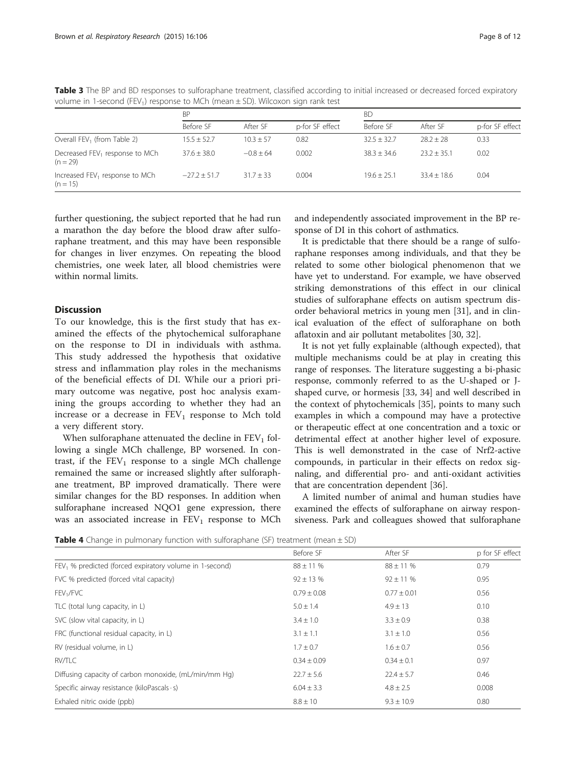|                                                          | <b>BP</b>       |               |                 | <b>BD</b>     |               |                 |
|----------------------------------------------------------|-----------------|---------------|-----------------|---------------|---------------|-----------------|
|                                                          | Before SF       | After SF      | p-for SF effect | Before SF     | After SF      | p-for SF effect |
| Overall FEV <sub>1</sub> (from Table 2)                  | $15.5 \pm 52.7$ | $10.3 \pm 57$ | 0.82            | $32.5 + 32.7$ | $28.2 + 28$   | 0.33            |
| Decreased FEV <sub>1</sub> response to MCh<br>$(n = 29)$ | $37.6 + 38.0$   | $-0.8 + 64$   | 0.002           | $38.3 + 34.6$ | $232 + 351$   | 0.02            |
| Increased FEV <sub>1</sub> response to MCh<br>$(n = 15)$ | $-27.2 + 51.7$  | $31.7 + 33$   | 0.004           | $19.6 + 25.1$ | $33.4 + 18.6$ | 0.04            |

<span id="page-7-0"></span>Table 3 The BP and BD responses to sulforaphane treatment, classified according to initial increased or decreased forced expiratory volume in 1-second (FEV<sub>1</sub>) response to MCh (mean  $\pm$  SD). Wilcoxon sign rank test

further questioning, the subject reported that he had run a marathon the day before the blood draw after sulforaphane treatment, and this may have been responsible for changes in liver enzymes. On repeating the blood chemistries, one week later, all blood chemistries were within normal limits.

## **Discussion**

To our knowledge, this is the first study that has examined the effects of the phytochemical sulforaphane on the response to DI in individuals with asthma. This study addressed the hypothesis that oxidative stress and inflammation play roles in the mechanisms of the beneficial effects of DI. While our a priori primary outcome was negative, post hoc analysis examining the groups according to whether they had an increase or a decrease in  $FEV<sub>1</sub>$  response to Mch told a very different story.

When sulforaphane attenuated the decline in  $FEV<sub>1</sub>$  following a single MCh challenge, BP worsened. In contrast, if the  $FEV_1$  response to a single MCh challenge remained the same or increased slightly after sulforaphane treatment, BP improved dramatically. There were similar changes for the BD responses. In addition when sulforaphane increased NQO1 gene expression, there was an associated increase in  $FEV<sub>1</sub>$  response to MCh

and independently associated improvement in the BP response of DI in this cohort of asthmatics.

It is predictable that there should be a range of sulforaphane responses among individuals, and that they be related to some other biological phenomenon that we have yet to understand. For example, we have observed striking demonstrations of this effect in our clinical studies of sulforaphane effects on autism spectrum disorder behavioral metrics in young men [\[31](#page-11-0)], and in clinical evaluation of the effect of sulforaphane on both aflatoxin and air pollutant metabolites [\[30](#page-11-0), [32](#page-11-0)].

It is not yet fully explainable (although expected), that multiple mechanisms could be at play in creating this range of responses. The literature suggesting a bi-phasic response, commonly referred to as the U-shaped or Jshaped curve, or hormesis [\[33](#page-11-0), [34](#page-11-0)] and well described in the context of phytochemicals [[35](#page-11-0)], points to many such examples in which a compound may have a protective or therapeutic effect at one concentration and a toxic or detrimental effect at another higher level of exposure. This is well demonstrated in the case of Nrf2-active compounds, in particular in their effects on redox signaling, and differential pro- and anti-oxidant activities that are concentration dependent [[36\]](#page-11-0).

A limited number of animal and human studies have examined the effects of sulforaphane on airway responsiveness. Park and colleagues showed that sulforaphane

**Table 4** Change in pulmonary function with sulforaphane (SF) treatment (mean  $\pm$  SD)

|                                                           | Before SF       | After SF        | p for SF effect |
|-----------------------------------------------------------|-----------------|-----------------|-----------------|
| $FEV1$ % predicted (forced expiratory volume in 1-second) | $88 \pm 11$ %   | $88 \pm 11%$    | 0.79            |
| FVC % predicted (forced vital capacity)                   | $92 \pm 13$ %   | $92 \pm 11$ %   | 0.95            |
| FEV <sub>1</sub> /FVC                                     | $0.79 \pm 0.08$ | $0.77 \pm 0.01$ | 0.56            |
| TLC (total lung capacity, in L)                           | $5.0 \pm 1.4$   | $4.9 \pm 13$    | 0.10            |
| SVC (slow vital capacity, in L)                           | $3.4 \pm 1.0$   | $3.3 \pm 0.9$   | 0.38            |
| FRC (functional residual capacity, in L)                  | $3.1 \pm 1.1$   | $3.1 \pm 1.0$   | 0.56            |
| RV (residual volume, in L)                                | $1.7 \pm 0.7$   | $1.6 \pm 0.7$   | 0.56            |
| RV/TLC                                                    | $0.34 \pm 0.09$ | $0.34 \pm 0.1$  | 0.97            |
| Diffusing capacity of carbon monoxide, (mL/min/mm Hg)     | $22.7 \pm 5.6$  | $22.4 \pm 5.7$  | 0.46            |
| Specific airway resistance (kiloPascals · s)              | $6.04 \pm 3.3$  | $4.8 \pm 2.5$   | 0.008           |
| Exhaled nitric oxide (ppb)                                | $8.8 \pm 10$    | $9.3 \pm 10.9$  | 0.80            |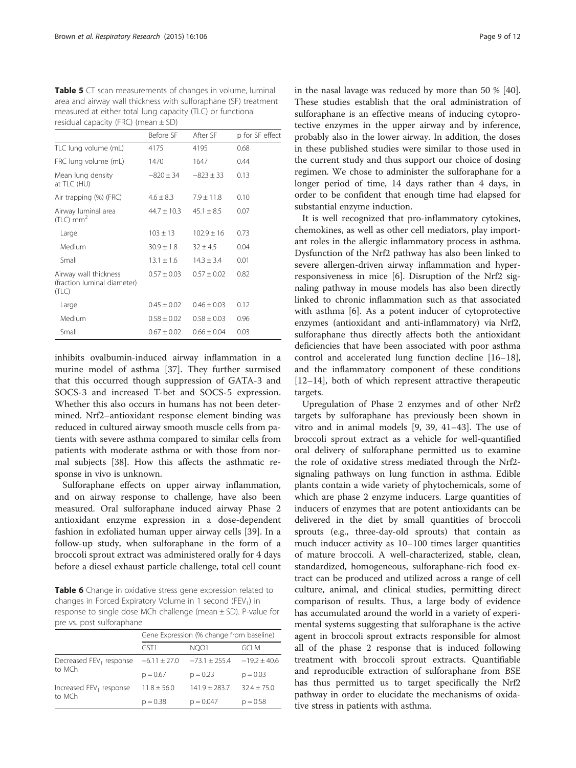<span id="page-8-0"></span>Table 5 CT scan measurements of changes in volume, luminal area and airway wall thickness with sulforaphane (SF) treatment measured at either total lung capacity (TLC) or functional residual capacity (FRC) (mean  $\pm$  SD)

|                                                               | Before SF       | After SF        | p for SF effect |
|---------------------------------------------------------------|-----------------|-----------------|-----------------|
| TLC lung volume (mL)                                          | 4175            | 4195            | 0.68            |
| FRC lung volume (mL)                                          | 1470            | 1647            | 0.44            |
| Mean lung density<br>at TLC (HU)                              | $-820 \pm 34$   | $-823 \pm 33$   | 0.13            |
| Air trapping (%) (FRC)                                        | $4.6 \pm 8.3$   | $7.9 \pm 11.8$  | 0.10            |
| Airway luminal area<br>$(TLC)$ mm <sup>2</sup>                | $44.7 \pm 10.3$ | $45.1 + 8.5$    | 0.07            |
| Large                                                         | $103 \pm 13$    | $102.9 \pm 16$  | 0.73            |
| Medium                                                        | $30.9 \pm 1.8$  | $32 \pm 4.5$    | 0.04            |
| Small                                                         | $13.1 \pm 1.6$  | $14.3 \pm 3.4$  | 0.01            |
| Airway wall thickness<br>(fraction luminal diameter)<br>(TLC) | $0.57 \pm 0.03$ | $0.57 \pm 0.02$ | 0.82            |
| Large                                                         | $0.45 \pm 0.02$ | $0.46 \pm 0.03$ | 0.12            |
| Medium                                                        | $0.58 \pm 0.02$ | $0.58 \pm 0.03$ | 0.96            |
| Small                                                         | $0.67 \pm 0.02$ | $0.66 \pm 0.04$ | 0.03            |
|                                                               |                 |                 |                 |

inhibits ovalbumin-induced airway inflammation in a murine model of asthma [[37](#page-11-0)]. They further surmised that this occurred though suppression of GATA-3 and SOCS-3 and increased T-bet and SOCS-5 expression. Whether this also occurs in humans has not been determined. Nrf2–antioxidant response element binding was reduced in cultured airway smooth muscle cells from patients with severe asthma compared to similar cells from patients with moderate asthma or with those from normal subjects [\[38](#page-11-0)]. How this affects the asthmatic response in vivo is unknown.

Sulforaphane effects on upper airway inflammation, and on airway response to challenge, have also been measured. Oral sulforaphane induced airway Phase 2 antioxidant enzyme expression in a dose-dependent fashion in exfoliated human upper airway cells [[39\]](#page-11-0). In a follow-up study, when sulforaphane in the form of a broccoli sprout extract was administered orally for 4 days before a diesel exhaust particle challenge, total cell count

Table 6 Change in oxidative stress gene expression related to changes in Forced Expiratory Volume in 1 second (FEV<sub>1</sub>) in response to single dose MCh challenge (mean ± SD). P-value for pre vs. post sulforaphane

|                                               | Gene Expression (% change from baseline) |                 |                |  |
|-----------------------------------------------|------------------------------------------|-----------------|----------------|--|
|                                               | GST <sub>1</sub>                         | NOO1            | gci m          |  |
| Decreased FEV <sub>1</sub> response<br>to MCh | $-6.11 \pm 27.0$                         | $-73.1 + 255.4$ | $-19.2 + 40.6$ |  |
|                                               | $p = 0.67$                               | $p = 0.23$      | $p = 0.03$     |  |
| Increased FEV <sub>1</sub> response<br>to MCh | $11.8 + 56.0$                            | $141.9 + 283.7$ | $32.4 + 75.0$  |  |
|                                               | $p = 0.38$                               | $p = 0.047$     | $p = 0.58$     |  |

in the nasal lavage was reduced by more than 50 % [\[40](#page-11-0)]. These studies establish that the oral administration of sulforaphane is an effective means of inducing cytoprotective enzymes in the upper airway and by inference, probably also in the lower airway. In addition, the doses in these published studies were similar to those used in the current study and thus support our choice of dosing regimen. We chose to administer the sulforaphane for a longer period of time, 14 days rather than 4 days, in order to be confident that enough time had elapsed for substantial enzyme induction.

It is well recognized that pro-inflammatory cytokines, chemokines, as well as other cell mediators, play important roles in the allergic inflammatory process in asthma. Dysfunction of the Nrf2 pathway has also been linked to severe allergen-driven airway inflammation and hyperresponsiveness in mice [[6](#page-10-0)]. Disruption of the Nrf2 signaling pathway in mouse models has also been directly linked to chronic inflammation such as that associated with asthma [[6\]](#page-10-0). As a potent inducer of cytoprotective enzymes (antioxidant and anti-inflammatory) via Nrf2, sulforaphane thus directly affects both the antioxidant deficiencies that have been associated with poor asthma control and accelerated lung function decline [[16](#page-10-0)–[18](#page-10-0)], and the inflammatory component of these conditions [[12](#page-10-0)–[14](#page-10-0)], both of which represent attractive therapeutic targets.

Upregulation of Phase 2 enzymes and of other Nrf2 targets by sulforaphane has previously been shown in vitro and in animal models [[9,](#page-10-0) [39](#page-11-0), [41](#page-11-0)–[43](#page-11-0)]. The use of broccoli sprout extract as a vehicle for well-quantified oral delivery of sulforaphane permitted us to examine the role of oxidative stress mediated through the Nrf2 signaling pathways on lung function in asthma. Edible plants contain a wide variety of phytochemicals, some of which are phase 2 enzyme inducers. Large quantities of inducers of enzymes that are potent antioxidants can be delivered in the diet by small quantities of broccoli sprouts (e.g., three-day-old sprouts) that contain as much inducer activity as 10–100 times larger quantities of mature broccoli. A well-characterized, stable, clean, standardized, homogeneous, sulforaphane-rich food extract can be produced and utilized across a range of cell culture, animal, and clinical studies, permitting direct comparison of results. Thus, a large body of evidence has accumulated around the world in a variety of experimental systems suggesting that sulforaphane is the active agent in broccoli sprout extracts responsible for almost all of the phase 2 response that is induced following treatment with broccoli sprout extracts. Quantifiable and reproducible extraction of sulforaphane from BSE has thus permitted us to target specifically the Nrf2 pathway in order to elucidate the mechanisms of oxidative stress in patients with asthma.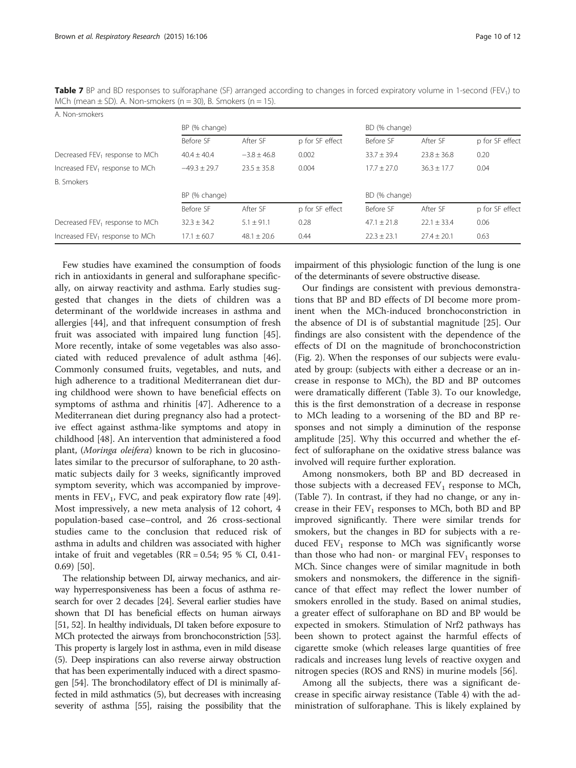<span id="page-9-0"></span>Table 7 BP and BD responses to sulforaphane (SF) arranged according to changes in forced expiratory volume in 1-second (FEV<sub>1</sub>) to MCh (mean  $\pm$  SD). A. Non-smokers (n = 30), B. Smokers (n = 15).

| A. Non-smokers                             |                 |                 |                 |                 |                 |                 |
|--------------------------------------------|-----------------|-----------------|-----------------|-----------------|-----------------|-----------------|
|                                            | BP (% change)   |                 |                 | BD (% change)   |                 |                 |
|                                            | Before SF       | After SF        | p for SF effect | Before SF       | After SF        | p for SF effect |
| Decreased FEV <sub>1</sub> response to MCh | $40.4 + 40.4$   | $-3.8 \pm 46.8$ | 0.002           | $33.7 + 39.4$   | $23.8 + 36.8$   | 0.20            |
| Increased FEV <sub>1</sub> response to MCh | $-49.3 + 29.7$  | $23.5 \pm 35.8$ | 0.004           | $17.7 \pm 27.0$ | $36.3 + 17.7$   | 0.04            |
| <b>B.</b> Smokers                          |                 |                 |                 |                 |                 |                 |
|                                            | BP (% change)   |                 |                 | BD (% change)   |                 |                 |
|                                            | Before SF       | After SF        | p for SF effect | Before SF       | After SF        | p for SF effect |
| Decreased FEV <sub>1</sub> response to MCh | $32.3 \pm 34.2$ | $5.1 \pm 91.1$  | 0.28            | $47.1 \pm 21.8$ | $22.1 \pm 33.4$ | 0.06            |
| Increased FEV <sub>1</sub> response to MCh | $17.1 \pm 60.7$ | $48.1 \pm 20.6$ | 0.44            | $22.3 \pm 23.1$ | $27.4 \pm 20.1$ | 0.63            |

Few studies have examined the consumption of foods rich in antioxidants in general and sulforaphane specifically, on airway reactivity and asthma. Early studies suggested that changes in the diets of children was a determinant of the worldwide increases in asthma and allergies [[44\]](#page-11-0), and that infrequent consumption of fresh fruit was associated with impaired lung function [\[45](#page-11-0)]. More recently, intake of some vegetables was also associated with reduced prevalence of adult asthma [\[46](#page-11-0)]. Commonly consumed fruits, vegetables, and nuts, and high adherence to a traditional Mediterranean diet during childhood were shown to have beneficial effects on symptoms of asthma and rhinitis [\[47](#page-11-0)]. Adherence to a Mediterranean diet during pregnancy also had a protective effect against asthma-like symptoms and atopy in childhood [[48](#page-11-0)]. An intervention that administered a food plant, (Moringa oleifera) known to be rich in glucosinolates similar to the precursor of sulforaphane, to 20 asthmatic subjects daily for 3 weeks, significantly improved symptom severity, which was accompanied by improvements in  $FEV_1$ , FVC, and peak expiratory flow rate [\[49](#page-11-0)]. Most impressively, a new meta analysis of 12 cohort, 4 population-based case–control, and 26 cross-sectional studies came to the conclusion that reduced risk of asthma in adults and children was associated with higher intake of fruit and vegetables ( $RR = 0.54$ ; 95 % CI, 0.41-0.69) [[50\]](#page-11-0).

The relationship between DI, airway mechanics, and airway hyperresponsiveness has been a focus of asthma research for over 2 decades [\[24\]](#page-10-0). Several earlier studies have shown that DI has beneficial effects on human airways [[51](#page-11-0), [52](#page-11-0)]. In healthy individuals, DI taken before exposure to MCh protected the airways from bronchoconstriction [\[53](#page-11-0)]. This property is largely lost in asthma, even in mild disease (5). Deep inspirations can also reverse airway obstruction that has been experimentally induced with a direct spasmogen [\[54](#page-11-0)]. The bronchodilatory effect of DI is minimally affected in mild asthmatics (5), but decreases with increasing severity of asthma [\[55\]](#page-11-0), raising the possibility that the impairment of this physiologic function of the lung is one of the determinants of severe obstructive disease.

Our findings are consistent with previous demonstrations that BP and BD effects of DI become more prominent when the MCh-induced bronchoconstriction in the absence of DI is of substantial magnitude [[25\]](#page-10-0). Our findings are also consistent with the dependence of the effects of DI on the magnitude of bronchoconstriction (Fig. [2\)](#page-6-0). When the responses of our subjects were evaluated by group: (subjects with either a decrease or an increase in response to MCh), the BD and BP outcomes were dramatically different (Table [3\)](#page-7-0). To our knowledge, this is the first demonstration of a decrease in response to MCh leading to a worsening of the BD and BP responses and not simply a diminution of the response amplitude [[25\]](#page-10-0). Why this occurred and whether the effect of sulforaphane on the oxidative stress balance was involved will require further exploration.

Among nonsmokers, both BP and BD decreased in those subjects with a decreased  $FEV<sub>1</sub>$  response to MCh, (Table 7). In contrast, if they had no change, or any increase in their  $FEV_1$  responses to MCh, both BD and BP improved significantly. There were similar trends for smokers, but the changes in BD for subjects with a reduced  $FEV_1$  response to MCh was significantly worse than those who had non- or marginal  $FEV<sub>1</sub>$  responses to MCh. Since changes were of similar magnitude in both smokers and nonsmokers, the difference in the significance of that effect may reflect the lower number of smokers enrolled in the study. Based on animal studies, a greater effect of sulforaphane on BD and BP would be expected in smokers. Stimulation of Nrf2 pathways has been shown to protect against the harmful effects of cigarette smoke (which releases large quantities of free radicals and increases lung levels of reactive oxygen and nitrogen species (ROS and RNS) in murine models [[56\]](#page-11-0).

Among all the subjects, there was a significant decrease in specific airway resistance (Table [4\)](#page-7-0) with the administration of sulforaphane. This is likely explained by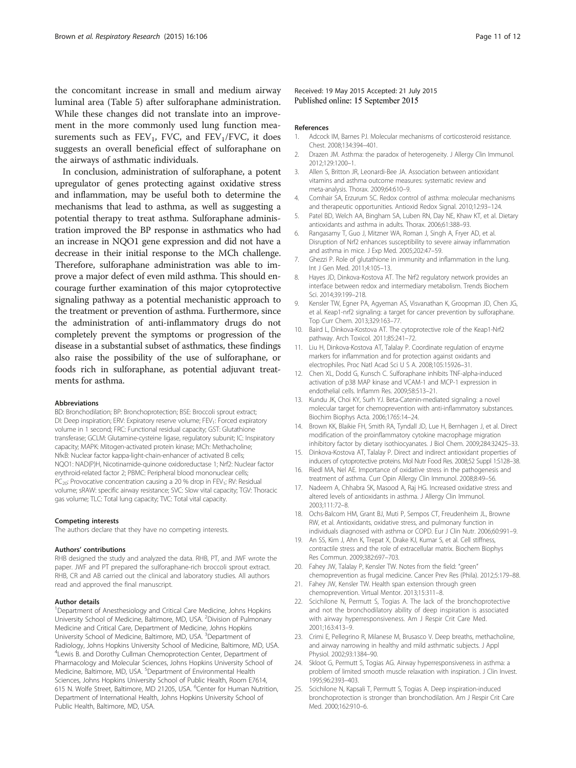<span id="page-10-0"></span>the concomitant increase in small and medium airway luminal area (Table [5\)](#page-8-0) after sulforaphane administration. While these changes did not translate into an improvement in the more commonly used lung function measurements such as  $FEV_1$ , FVC, and  $FEV_1/FVC$ , it does suggests an overall beneficial effect of sulforaphane on the airways of asthmatic individuals.

In conclusion, administration of sulforaphane, a potent upregulator of genes protecting against oxidative stress and inflammation, may be useful both to determine the mechanisms that lead to asthma, as well as suggesting a potential therapy to treat asthma. Sulforaphane administration improved the BP response in asthmatics who had an increase in NQO1 gene expression and did not have a decrease in their initial response to the MCh challenge. Therefore, sulforaphane administration was able to improve a major defect of even mild asthma. This should encourage further examination of this major cytoprotective signaling pathway as a potential mechanistic approach to the treatment or prevention of asthma. Furthermore, since the administration of anti-inflammatory drugs do not completely prevent the symptoms or progression of the disease in a substantial subset of asthmatics, these findings also raise the possibility of the use of sulforaphane, or foods rich in sulforaphane, as potential adjuvant treatments for asthma.

#### Abbreviations

BD: Bronchodilation; BP: Bronchoprotection; BSE: Broccoli sprout extract; DI: Deep inspiration; ERV: Expiratory reserve volume; FEV<sub>1</sub>: Forced expiratory volume in 1 second; FRC: Functional residual capacity; GST: Glutathione transferase; GCLM: Glutamine-cysteine ligase, regulatory subunit; IC: Inspiratory capacity; MAPK: Mitogen-activated protein kinase; MCh: Methacholine; NfκB: Nuclear factor kappa-light-chain-enhancer of activated B cells; NQO1: NAD(P)H, Nicotinamide-quinone oxidoreductase 1; Nrf2: Nuclear factor erythroid-related factor 2; PBMC: Peripheral blood mononuclear cells;  $PC<sub>20</sub>$ : Provocative concentration causing a 20 % drop in FEV<sub>1</sub>; RV: Residual volume; sRAW: specific airway resistance; SVC: Slow vital capacity; TGV: Thoracic gas volume; TLC: Total lung capacity; TVC: Total vital capacity.

#### Competing interests

The authors declare that they have no competing interests.

#### Authors' contributions

RHB designed the study and analyzed the data. RHB, PT, and JWF wrote the paper. JWF and PT prepared the sulforaphane-rich broccoli sprout extract. RHB, CR and AB carried out the clinical and laboratory studies. All authors read and approved the final manuscript.

#### Author details

<sup>1</sup>Department of Anesthesiology and Critical Care Medicine, Johns Hopkins University School of Medicine, Baltimore, MD, USA. <sup>2</sup> Division of Pulmonary Medicine and Critical Care, Department of Medicine, Johns Hopkins University School of Medicine, Baltimore, MD, USA. <sup>3</sup>Department of Radiology, Johns Hopkins University School of Medicine, Baltimore, MD, USA. <sup>4</sup> Lewis B. and Dorothy Cullman Chemoprotection Center, Department of Pharmacology and Molecular Sciences, Johns Hopkins University School of Medicine, Baltimore, MD, USA. <sup>5</sup>Department of Environmental Health Sciences, Johns Hopkins University School of Public Health, Room E7614, 615 N. Wolfe Street, Baltimore, MD 21205, USA. <sup>6</sup>Center for Human Nutrition, Department of International Health, Johns Hopkins University School of Public Health, Baltimore, MD, USA.

Received: 19 May 2015 Accepted: 21 July 2015 Published online: 15 September 2015

#### References

- 1. Adcock IM, Barnes PJ. Molecular mechanisms of corticosteroid resistance. Chest. 2008;134:394–401.
- 2. Drazen JM. Asthma: the paradox of heterogeneity. J Allergy Clin Immunol. 2012;129:1200–1.
- 3. Allen S, Britton JR, Leonardi-Bee JA. Association between antioxidant vitamins and asthma outcome measures: systematic review and meta-analysis. Thorax. 2009;64:610–9.
- 4. Comhair SA, Erzurum SC. Redox control of asthma: molecular mechanisms and therapeutic opportunities. Antioxid Redox Signal. 2010;12:93–124.
- 5. Patel BD, Welch AA, Bingham SA, Luben RN, Day NE, Khaw KT, et al. Dietary antioxidants and asthma in adults. Thorax. 2006;61:388–93.
- 6. Rangasamy T, Guo J, Mitzner WA, Roman J, Singh A, Fryer AD, et al. Disruption of Nrf2 enhances susceptibility to severe airway inflammation and asthma in mice. J Exp Med. 2005;202:47–59.
- 7. Ghezzi P. Role of glutathione in immunity and inflammation in the lung. Int J Gen Med. 2011;4:105–13.
- 8. Hayes JD, Dinkova-Kostova AT. The Nrf2 regulatory network provides an interface between redox and intermediary metabolism. Trends Biochem Sci. 2014;39:199–218.
- 9. Kensler TW, Egner PA, Agyeman AS, Visvanathan K, Groopman JD, Chen JG, et al. Keap1-nrf2 signaling: a target for cancer prevention by sulforaphane. Top Curr Chem. 2013;329:163–77.
- 10. Baird L, Dinkova-Kostova AT. The cytoprotective role of the Keap1-Nrf2 pathway. Arch Toxicol. 2011;85:241–72.
- 11. Liu H, Dinkova-Kostova AT, Talalay P. Coordinate regulation of enzyme markers for inflammation and for protection against oxidants and electrophiles. Proc Natl Acad Sci U S A. 2008;105:15926–31.
- 12. Chen XL, Dodd G, Kunsch C. Sulforaphane inhibits TNF-alpha-induced activation of p38 MAP kinase and VCAM-1 and MCP-1 expression in endothelial cells. Inflamm Res. 2009;58:513–21.
- 13. Kundu JK, Choi KY, Surh YJ. Beta-Catenin-mediated signaling: a novel molecular target for chemoprevention with anti-inflammatory substances. Biochim Biophys Acta. 2006;1765:14–24.
- 14. Brown KK, Blaikie FH, Smith RA, Tyndall JD, Lue H, Bernhagen J, et al. Direct modification of the proinflammatory cytokine macrophage migration inhibitory factor by dietary isothiocyanates. J Biol Chem. 2009;284:32425–33.
- 15. Dinkova-Kostova AT, Talalay P. Direct and indirect antioxidant properties of inducers of cytoprotective proteins. Mol Nutr Food Res. 2008;52 Suppl 1:S128–38.
- 16. Riedl MA, Nel AE. Importance of oxidative stress in the pathogenesis and treatment of asthma. Curr Opin Allergy Clin Immunol. 2008;8:49–56.
- 17. Nadeem A, Chhabra SK, Masood A, Raj HG. Increased oxidative stress and altered levels of antioxidants in asthma. J Allergy Clin Immunol. 2003;111:72–8.
- 18. Ochs-Balcom HM, Grant BJ, Muti P, Sempos CT, Freudenheim JL, Browne RW, et al. Antioxidants, oxidative stress, and pulmonary function in individuals diagnosed with asthma or COPD. Eur J Clin Nutr. 2006;60:991–9.
- 19. An SS, Kim J, Ahn K, Trepat X, Drake KJ, Kumar S, et al. Cell stiffness, contractile stress and the role of extracellular matrix. Biochem Biophys Res Commun. 2009;382:697–703.
- 20. Fahey JW, Talalay P, Kensler TW. Notes from the field: "green" chemoprevention as frugal medicine. Cancer Prev Res (Phila). 2012;5:179–88.
- 21. Fahey JW, Kensler TW. Health span extension through green chemoprevention. Virtual Mentor. 2013;15:311–8.
- 22. Scichilone N, Permutt S, Togias A. The lack of the bronchoprotective and not the bronchodilatory ability of deep inspiration is associated with airway hyperresponsiveness. Am J Respir Crit Care Med. 2001;163:413–9.
- 23. Crimi E, Pellegrino R, Milanese M, Brusasco V. Deep breaths, methacholine, and airway narrowing in healthy and mild asthmatic subjects. J Appl Physiol. 2002;93:1384–90.
- 24. Skloot G, Permutt S, Togias AG. Airway hyperresponsiveness in asthma: a problem of limited smooth muscle relaxation with inspiration. J Clin Invest. 1995;96:2393–403.
- 25. Scichilone N, Kapsali T, Permutt S, Togias A. Deep inspiration-induced bronchoprotection is stronger than bronchodilation. Am J Respir Crit Care Med. 2000;162:910–6.